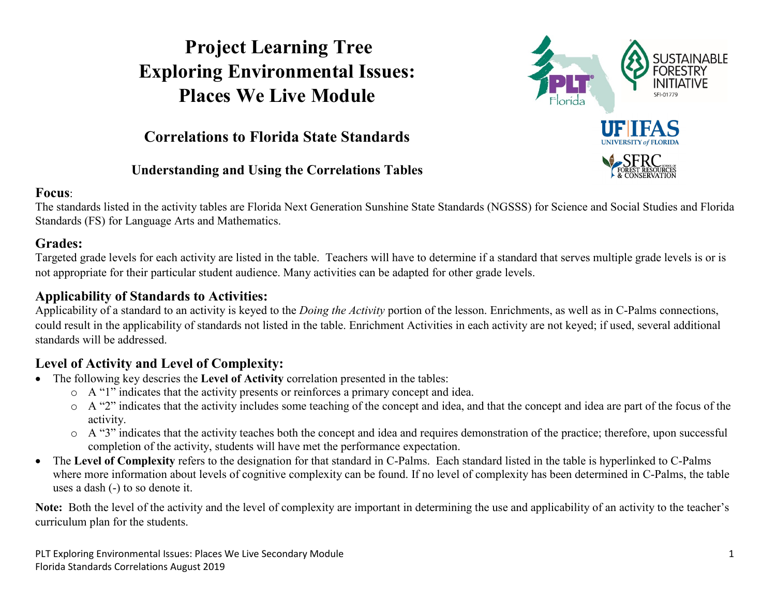## **Project Learning Tree Exploring Environmental Issues: Places We Live Module**



### **Correlations to Florida State Standards**

#### **Understanding and Using the Correlations Tables**

#### **Focus**:

The standards listed in the activity tables are Florida Next Generation Sunshine State Standards (NGSSS) for Science and Social Studies and Florida Standards (FS) for Language Arts and Mathematics.

#### **Grades:**

Targeted grade levels for each activity are listed in the table. Teachers will have to determine if a standard that serves multiple grade levels is or is not appropriate for their particular student audience. Many activities can be adapted for other grade levels.

#### **Applicability of Standards to Activities:**

Applicability of a standard to an activity is keyed to the *Doing the Activity* portion of the lesson. Enrichments, as well as in C-Palms connections, could result in the applicability of standards not listed in the table. Enrichment Activities in each activity are not keyed; if used, several additional standards will be addressed.

#### **Level of Activity and Level of Complexity:**

- The following key descries the **Level of Activity** correlation presented in the tables:
	- o A "1" indicates that the activity presents or reinforces a primary concept and idea.
	- o A "2" indicates that the activity includes some teaching of the concept and idea, and that the concept and idea are part of the focus of the activity.
	- $\circ$  A "3" indicates that the activity teaches both the concept and idea and requires demonstration of the practice; therefore, upon successful completion of the activity, students will have met the performance expectation.
- The **Level of Complexity** refers to the designation for that standard in C-Palms. Each standard listed in the table is hyperlinked to C-Palms where more information about levels of cognitive complexity can be found. If no level of complexity has been determined in C-Palms, the table uses a dash (-) to so denote it.

**Note:** Both the level of the activity and the level of complexity are important in determining the use and applicability of an activity to the teacher's curriculum plan for the students.

PLT Exploring Environmental Issues: Places We Live Secondary Module 1 Florida Standards Correlations August 2019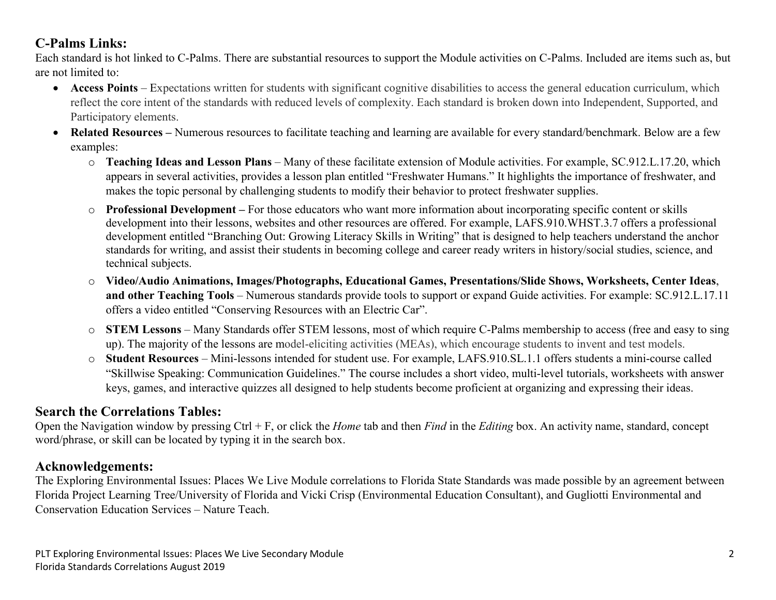#### **C-Palms Links:**

Each standard is hot linked to C-Palms. There are substantial resources to support the Module activities on C-Palms. Included are items such as, but are not limited to:

- **Access Points** Expectations written for students with significant cognitive disabilities to access the general education curriculum, which reflect the core intent of the standards with reduced levels of complexity. Each standard is broken down into Independent, Supported, and Participatory elements.
- **Related Resources –** Numerous resources to facilitate teaching and learning are available for every standard/benchmark. Below are a few examples:
	- o **Teaching Ideas and Lesson Plans** Many of these facilitate extension of Module activities. For example, SC.912.L.17.20, which appears in several activities, provides a lesson plan entitled "Freshwater Humans." It highlights the importance of freshwater, and makes the topic personal by challenging students to modify their behavior to protect freshwater supplies.
	- o **Professional Development –** For those educators who want more information about incorporating specific content or skills development into their lessons, websites and other resources are offered. For example, LAFS.910.WHST.3.7 offers a professional development entitled "Branching Out: Growing Literacy Skills in Writing" that is designed to help teachers understand the anchor standards for writing, and assist their students in becoming college and career ready writers in history/social studies, science, and technical subjects.
	- o **Video/Audio Animations, Images/Photographs, Educational Games, Presentations/Slide Shows, Worksheets, Center Ideas**, **and other Teaching Tools** – Numerous standards provide tools to support or expand Guide activities. For example: SC.912.L.17.11 offers a video entitled "Conserving Resources with an Electric Car".
	- o **STEM Lessons** Many Standards offer STEM lessons, most of which require C-Palms membership to access (free and easy to sing up). The majority of the lessons are model-eliciting activities (MEAs), which encourage students to invent and test models.
	- o **Student Resources**  Mini-lessons intended for student use. For example, LAFS.910.SL.1.1 offers students a mini-course called "Skillwise Speaking: Communication Guidelines." The course includes a short video, multi-level tutorials, worksheets with answer keys, games, and interactive quizzes all designed to help students become proficient at organizing and expressing their ideas.

#### **Search the Correlations Tables:**

Open the Navigation window by pressing Ctrl + F, or click the *Home* tab and then *Find* in the *Editing* box. An activity name, standard, concept word/phrase, or skill can be located by typing it in the search box.

#### **Acknowledgements:**

The Exploring Environmental Issues: Places We Live Module correlations to Florida State Standards was made possible by an agreement between Florida Project Learning Tree/University of Florida and Vicki Crisp (Environmental Education Consultant), and Gugliotti Environmental and Conservation Education Services – Nature Teach.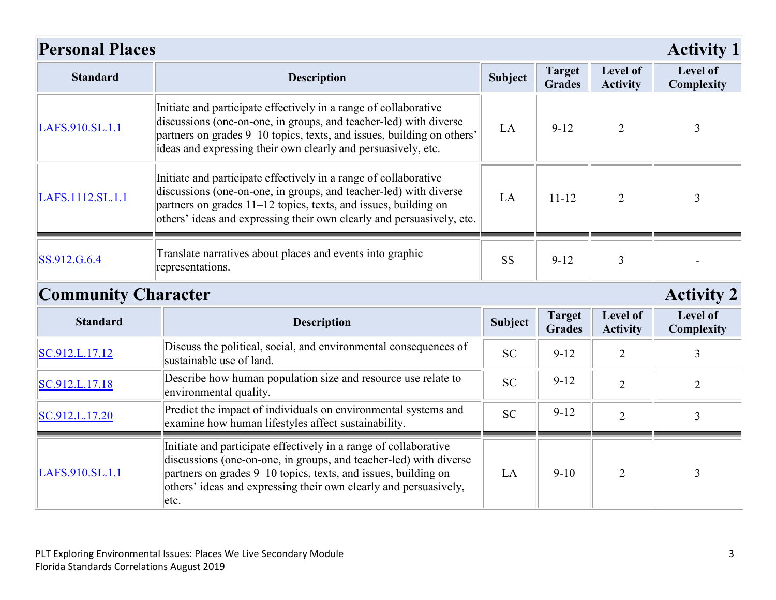| <b>Personal Places</b>     |                                                                                                                                                                                                                                                                                   |                |                                |                             | <b>Activity 1</b>      |
|----------------------------|-----------------------------------------------------------------------------------------------------------------------------------------------------------------------------------------------------------------------------------------------------------------------------------|----------------|--------------------------------|-----------------------------|------------------------|
| <b>Standard</b>            | <b>Description</b>                                                                                                                                                                                                                                                                | <b>Subject</b> | <b>Target</b><br><b>Grades</b> | Level of<br><b>Activity</b> | Level of<br>Complexity |
| LAFS.910.SL.1.1            | Initiate and participate effectively in a range of collaborative<br>discussions (one-on-one, in groups, and teacher-led) with diverse<br>partners on grades 9-10 topics, texts, and issues, building on others'<br>ideas and expressing their own clearly and persuasively, etc.  | LA             | $9-12$                         | $\overline{2}$              | $\overline{3}$         |
| LAFS.1112.SL.1.1           | Initiate and participate effectively in a range of collaborative<br>discussions (one-on-one, in groups, and teacher-led) with diverse<br>partners on grades 11–12 topics, texts, and issues, building on<br>others' ideas and expressing their own clearly and persuasively, etc. | LA             | $11 - 12$                      | $\overline{2}$              | 3                      |
| SS.912.G.6.4               | Translate narratives about places and events into graphic<br>representations.                                                                                                                                                                                                     | <b>SS</b>      | $9 - 12$                       | 3                           |                        |
| <b>Community Character</b> |                                                                                                                                                                                                                                                                                   |                |                                |                             | <b>Activity 2</b>      |
| <b>Standard</b>            | <b>Description</b>                                                                                                                                                                                                                                                                | <b>Subject</b> | <b>Target</b><br><b>Grades</b> | Level of<br><b>Activity</b> | Level of<br>Complexity |
| SC.912.L.17.12             | Discuss the political, social, and environmental consequences of<br>sustainable use of land.                                                                                                                                                                                      | <b>SC</b>      | $9 - 12$                       | $\overline{2}$              | 3                      |
| SC.912.L.17.18             | Describe how human population size and resource use relate to<br>environmental quality.                                                                                                                                                                                           | <b>SC</b>      | $9 - 12$                       | $\overline{2}$              | $\overline{2}$         |
| SC.912.L.17.20             | Predict the impact of individuals on environmental systems and<br>examine how human lifestyles affect sustainability.                                                                                                                                                             | <b>SC</b>      | $9 - 12$                       | $\overline{2}$              | $\overline{3}$         |
| LAFS.910.SL.1.1            | Initiate and participate effectively in a range of collaborative<br>discussions (one-on-one, in groups, and teacher-led) with diverse<br>partners on grades 9–10 topics, texts, and issues, building on                                                                           | LA             | $9-10$                         | 2                           | 3                      |

others' ideas and expressing their own clearly and persuasively,

etc.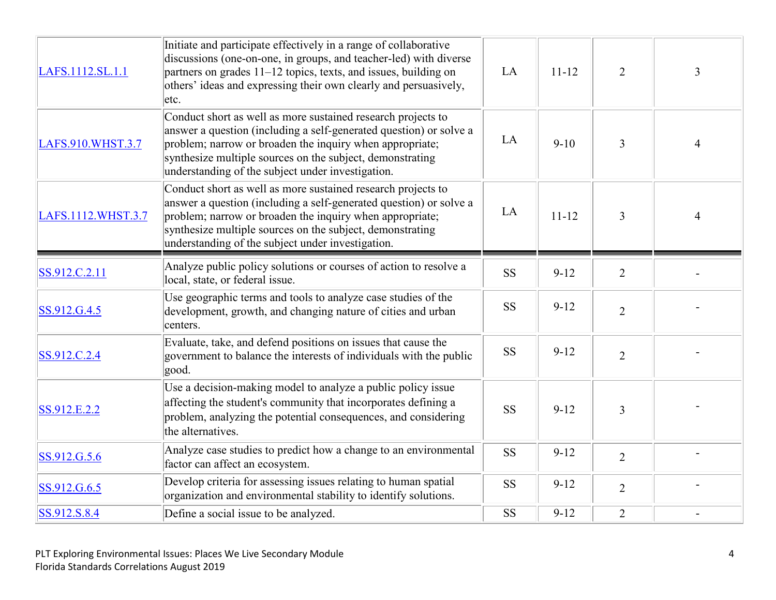| LAFS.1112.SL.1.1   | Initiate and participate effectively in a range of collaborative<br>discussions (one-on-one, in groups, and teacher-led) with diverse<br>partners on grades 11–12 topics, texts, and issues, building on<br>others' ideas and expressing their own clearly and persuasively,<br>etc.                             | LA        | $11 - 12$ | $\overline{2}$ | $\overline{3}$           |
|--------------------|------------------------------------------------------------------------------------------------------------------------------------------------------------------------------------------------------------------------------------------------------------------------------------------------------------------|-----------|-----------|----------------|--------------------------|
| LAFS.910.WHST.3.7  | Conduct short as well as more sustained research projects to<br>answer a question (including a self-generated question) or solve a<br>problem; narrow or broaden the inquiry when appropriate;<br>synthesize multiple sources on the subject, demonstrating<br>understanding of the subject under investigation. | LA        | $9-10$    | $\overline{3}$ | $\overline{\mathcal{L}}$ |
| LAFS.1112.WHST.3.7 | Conduct short as well as more sustained research projects to<br>answer a question (including a self-generated question) or solve a<br>problem; narrow or broaden the inquiry when appropriate;<br>synthesize multiple sources on the subject, demonstrating<br>understanding of the subject under investigation. | LA        | $11 - 12$ | $\mathfrak{Z}$ | $\overline{4}$           |
| SS.912.C.2.11      | Analyze public policy solutions or courses of action to resolve a<br>local, state, or federal issue.                                                                                                                                                                                                             | <b>SS</b> | $9 - 12$  | $\overline{2}$ |                          |
| SS.912.G.4.5       | Use geographic terms and tools to analyze case studies of the<br>development, growth, and changing nature of cities and urban<br>centers.                                                                                                                                                                        | <b>SS</b> | $9-12$    | $\overline{2}$ |                          |
| SS.912.C.2.4       | Evaluate, take, and defend positions on issues that cause the<br>government to balance the interests of individuals with the public<br>good.                                                                                                                                                                     | <b>SS</b> | $9 - 12$  | $\overline{2}$ |                          |
| SS.912.E.2.2       | Use a decision-making model to analyze a public policy issue<br>affecting the student's community that incorporates defining a<br>problem, analyzing the potential consequences, and considering<br>the alternatives.                                                                                            | <b>SS</b> | $9 - 12$  | 3              |                          |
| SS.912.G.5.6       | Analyze case studies to predict how a change to an environmental<br>factor can affect an ecosystem.                                                                                                                                                                                                              | <b>SS</b> | $9 - 12$  | $\overline{2}$ |                          |
| SS.912.G.6.5       | Develop criteria for assessing issues relating to human spatial<br>organization and environmental stability to identify solutions.                                                                                                                                                                               | <b>SS</b> | $9 - 12$  | $\overline{2}$ |                          |
| SS.912.S.8.4       | Define a social issue to be analyzed.                                                                                                                                                                                                                                                                            | <b>SS</b> | $9 - 12$  | $\overline{2}$ |                          |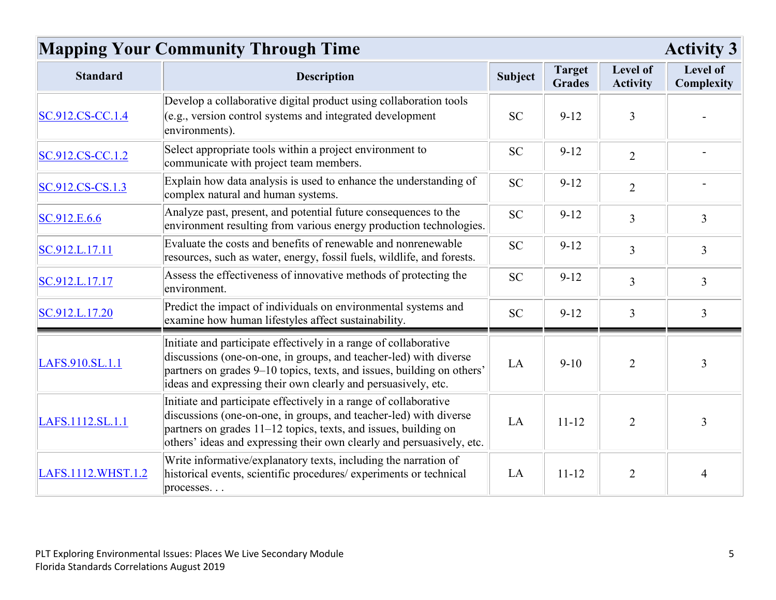# **Mapping Your Community Through Time Activity 3**

| <b>Standard</b>    | <b>Description</b>                                                                                                                                                                                                                                                                | Subject   | <b>Target</b><br><b>Grades</b> | Level of<br><b>Activity</b> | Level of<br>Complexity |
|--------------------|-----------------------------------------------------------------------------------------------------------------------------------------------------------------------------------------------------------------------------------------------------------------------------------|-----------|--------------------------------|-----------------------------|------------------------|
| SC.912.CS-CC.1.4   | Develop a collaborative digital product using collaboration tools<br>$(e.g., version control systems and integrated development$<br>environments).                                                                                                                                | <b>SC</b> | $9-12$                         | 3                           |                        |
| SC.912.CS-CC.1.2   | Select appropriate tools within a project environment to<br>communicate with project team members.                                                                                                                                                                                | <b>SC</b> | $9 - 12$                       | $\overline{2}$              |                        |
| SC.912.CS-CS.1.3   | Explain how data analysis is used to enhance the understanding of<br>complex natural and human systems.                                                                                                                                                                           | <b>SC</b> | $9 - 12$                       | $\overline{2}$              |                        |
| SC.912.E.6.6       | Analyze past, present, and potential future consequences to the<br>environment resulting from various energy production technologies.                                                                                                                                             | <b>SC</b> | $9 - 12$                       | $\overline{3}$              | $\overline{3}$         |
| SC.912.L.17.11     | Evaluate the costs and benefits of renewable and nonrenewable<br>resources, such as water, energy, fossil fuels, wildlife, and forests.                                                                                                                                           | <b>SC</b> | $9-12$                         | $\overline{3}$              | 3                      |
| SC.912.L.17.17     | Assess the effectiveness of innovative methods of protecting the<br>environment.                                                                                                                                                                                                  | <b>SC</b> | $9 - 12$                       | $\overline{3}$              | $\overline{3}$         |
| SC.912.L.17.20     | Predict the impact of individuals on environmental systems and<br>examine how human lifestyles affect sustainability.                                                                                                                                                             | <b>SC</b> | $9 - 12$                       | $\overline{3}$              | 3                      |
| LAFS.910.SL.1.1    | Initiate and participate effectively in a range of collaborative<br>discussions (one-on-one, in groups, and teacher-led) with diverse<br>partners on grades 9-10 topics, texts, and issues, building on others'<br>ideas and expressing their own clearly and persuasively, etc.  | LA        | $9-10$                         | $\overline{2}$              | 3                      |
| LAFS.1112.SL.1.1   | Initiate and participate effectively in a range of collaborative<br>discussions (one-on-one, in groups, and teacher-led) with diverse<br>partners on grades 11–12 topics, texts, and issues, building on<br>others' ideas and expressing their own clearly and persuasively, etc. | LA        | $11 - 12$                      | $\overline{2}$              | 3                      |
| LAFS.1112.WHST.1.2 | Write informative/explanatory texts, including the narration of<br>historical events, scientific procedures/ experiments or technical<br>processes                                                                                                                                | LA        | $11 - 12$                      | $\overline{2}$              | $\overline{4}$         |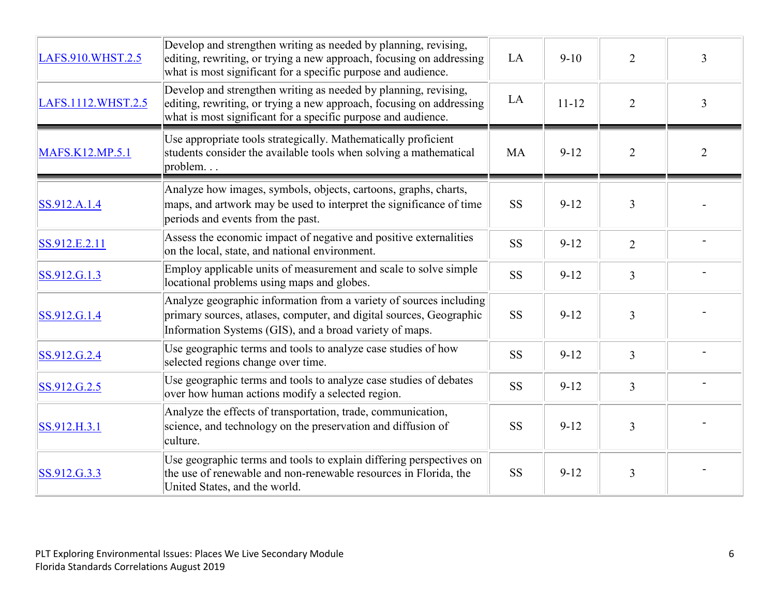| LAFS.910.WHST.2.5  | Develop and strengthen writing as needed by planning, revising,<br>editing, rewriting, or trying a new approach, focusing on addressing<br>what is most significant for a specific purpose and audience. | LA        | $9-10$    | $\overline{2}$ | 3              |
|--------------------|----------------------------------------------------------------------------------------------------------------------------------------------------------------------------------------------------------|-----------|-----------|----------------|----------------|
| LAFS.1112.WHST.2.5 | Develop and strengthen writing as needed by planning, revising,<br>editing, rewriting, or trying a new approach, focusing on addressing<br>what is most significant for a specific purpose and audience. | LA        | $11 - 12$ | $\overline{2}$ | $\overline{3}$ |
| MAFS.K12.MP.5.1    | Use appropriate tools strategically. Mathematically proficient<br>students consider the available tools when solving a mathematical<br>problem                                                           | <b>MA</b> | $9 - 12$  | $\overline{2}$ | $\overline{2}$ |
| SS.912.A.1.4       | Analyze how images, symbols, objects, cartoons, graphs, charts,<br>maps, and artwork may be used to interpret the significance of time<br>periods and events from the past.                              | <b>SS</b> | $9 - 12$  | $\overline{3}$ |                |
| SS.912.E.2.11      | Assess the economic impact of negative and positive externalities<br>on the local, state, and national environment.                                                                                      | <b>SS</b> | $9 - 12$  | $\overline{2}$ |                |
| SS.912.G.1.3       | Employ applicable units of measurement and scale to solve simple<br>locational problems using maps and globes.                                                                                           | <b>SS</b> | $9-12$    | $\overline{3}$ |                |
| SS.912.G.1.4       | Analyze geographic information from a variety of sources including<br>primary sources, atlases, computer, and digital sources, Geographic<br>Information Systems (GIS), and a broad variety of maps.     | <b>SS</b> | $9 - 12$  | $\overline{3}$ |                |
| SS.912.G.2.4       | Use geographic terms and tools to analyze case studies of how<br>selected regions change over time.                                                                                                      | <b>SS</b> | $9-12$    | $\overline{3}$ |                |
| SS.912.G.2.5       | Use geographic terms and tools to analyze case studies of debates<br>over how human actions modify a selected region.                                                                                    | <b>SS</b> | $9 - 12$  | $\overline{3}$ |                |
| SS.912.H.3.1       | Analyze the effects of transportation, trade, communication,<br>science, and technology on the preservation and diffusion of<br>culture.                                                                 | <b>SS</b> | $9 - 12$  | $\overline{3}$ |                |
| SS.912.G.3.3       | Use geographic terms and tools to explain differing perspectives on<br>the use of renewable and non-renewable resources in Florida, the<br>United States, and the world.                                 | <b>SS</b> | $9 - 12$  | $\overline{3}$ |                |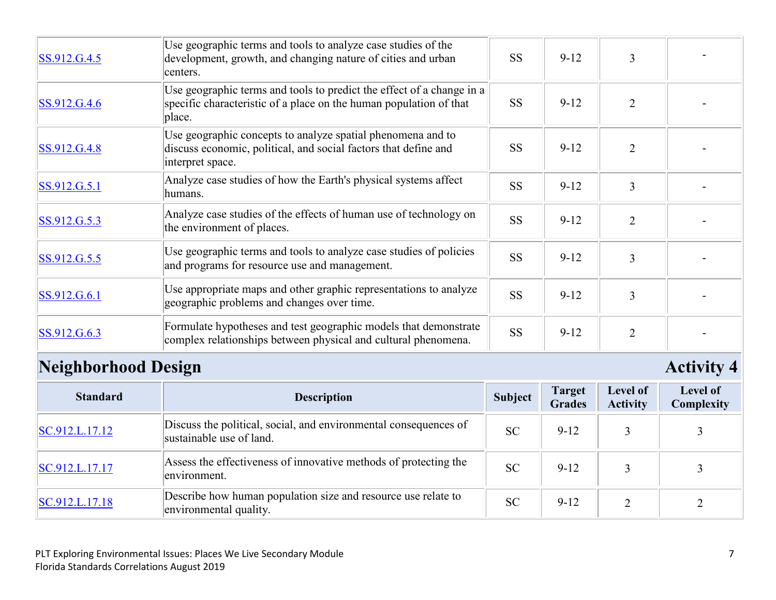| SS.912.G.4.5 | Use geographic terms and tools to analyze case studies of the<br>development, growth, and changing nature of cities and urban<br>centers.             | <b>SS</b> | $9-12$   | 3              |  |
|--------------|-------------------------------------------------------------------------------------------------------------------------------------------------------|-----------|----------|----------------|--|
| SS.912.G.4.6 | Use geographic terms and tools to predict the effect of a change in a<br>specific characteristic of a place on the human population of that<br>place. | <b>SS</b> | $9-12$   | $\overline{2}$ |  |
| SS.912.G.4.8 | Use geographic concepts to analyze spatial phenomena and to<br>discuss economic, political, and social factors that define and<br>interpret space.    | <b>SS</b> | $9 - 12$ | $\overline{2}$ |  |
| SS.912.G.5.1 | Analyze case studies of how the Earth's physical systems affect<br>humans.                                                                            | <b>SS</b> | $9-12$   | 3              |  |
| SS.912.G.5.3 | Analyze case studies of the effects of human use of technology on<br>the environment of places.                                                       | <b>SS</b> | $9 - 12$ | $\overline{2}$ |  |
| SS.912.G.5.5 | Use geographic terms and tools to analyze case studies of policies<br>and programs for resource use and management.                                   | <b>SS</b> | $9-12$   | 3              |  |
| SS.912.G.6.1 | Use appropriate maps and other graphic representations to analyze<br>geographic problems and changes over time.                                       | <b>SS</b> | $9-12$   | 3              |  |
| SS.912.G.6.3 | Formulate hypotheses and test geographic models that demonstrate<br>complex relationships between physical and cultural phenomena.                    | <b>SS</b> | $9 - 12$ | $\overline{2}$ |  |

# **Neighborhood Design Activity 4**

| <b>Standard</b> | <b>Description</b>                                                                           | Subject   | <b>Target</b><br><b>Grades</b> | Level of<br><b>Activity</b> | Level of<br>Complexity |
|-----------------|----------------------------------------------------------------------------------------------|-----------|--------------------------------|-----------------------------|------------------------|
| SC.912.L.17.12  | Discuss the political, social, and environmental consequences of<br>sustainable use of land. | <b>SC</b> | $9 - 12$                       |                             |                        |
| SC.912.L.17.17  | Assess the effectiveness of innovative methods of protecting the<br>environment.             | <b>SC</b> | $9 - 12$                       |                             |                        |
| SC.912.L.17.18  | Describe how human population size and resource use relate to<br>environmental quality.      | <b>SC</b> | $9 - 12$                       |                             |                        |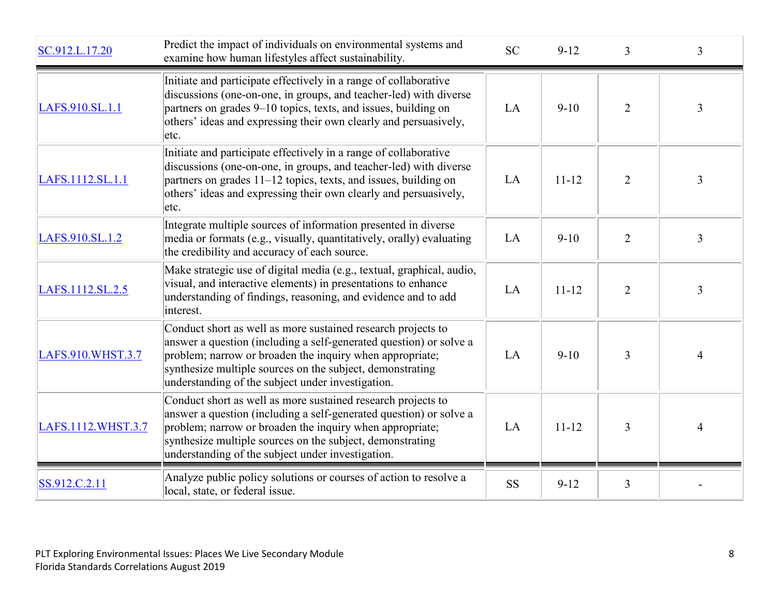| SC.912.L.17.20     | Predict the impact of individuals on environmental systems and<br>examine how human lifestyles affect sustainability.                                                                                                                                                                                            | <b>SC</b> | $9-12$    | $\overline{3}$ | 3              |
|--------------------|------------------------------------------------------------------------------------------------------------------------------------------------------------------------------------------------------------------------------------------------------------------------------------------------------------------|-----------|-----------|----------------|----------------|
| LAFS.910.SL.1.1    | Initiate and participate effectively in a range of collaborative<br>discussions (one-on-one, in groups, and teacher-led) with diverse<br>partners on grades 9-10 topics, texts, and issues, building on<br>others' ideas and expressing their own clearly and persuasively,<br>etc.                              | LA        | $9-10$    | $\overline{2}$ | 3              |
| LAFS.1112.SL.1.1   | Initiate and participate effectively in a range of collaborative<br>discussions (one-on-one, in groups, and teacher-led) with diverse<br>partners on grades 11–12 topics, texts, and issues, building on<br>others' ideas and expressing their own clearly and persuasively,<br>etc.                             | LA        | $11 - 12$ | $\overline{2}$ | 3              |
| LAFS.910.SL.1.2    | Integrate multiple sources of information presented in diverse<br>media or formats (e.g., visually, quantitatively, orally) evaluating<br>the credibility and accuracy of each source.                                                                                                                           | LA        | $9-10$    | $\overline{2}$ | $\overline{3}$ |
| LAFS.1112.SL.2.5   | Make strategic use of digital media (e.g., textual, graphical, audio,<br>visual, and interactive elements) in presentations to enhance<br>understanding of findings, reasoning, and evidence and to add<br>interest.                                                                                             | LA        | $11 - 12$ | $\overline{2}$ | $\overline{3}$ |
| LAFS.910.WHST.3.7  | Conduct short as well as more sustained research projects to<br>answer a question (including a self-generated question) or solve a<br>problem; narrow or broaden the inquiry when appropriate;<br>synthesize multiple sources on the subject, demonstrating<br>understanding of the subject under investigation. | LA        | $9-10$    | 3              | $\overline{4}$ |
| LAFS.1112.WHST.3.7 | Conduct short as well as more sustained research projects to<br>answer a question (including a self-generated question) or solve a<br>problem; narrow or broaden the inquiry when appropriate;<br>synthesize multiple sources on the subject, demonstrating<br>understanding of the subject under investigation. | LA        | $11 - 12$ | 3              | 4              |
| SS.912.C.2.11      | Analyze public policy solutions or courses of action to resolve a<br>local, state, or federal issue.                                                                                                                                                                                                             | <b>SS</b> | $9 - 12$  | 3              |                |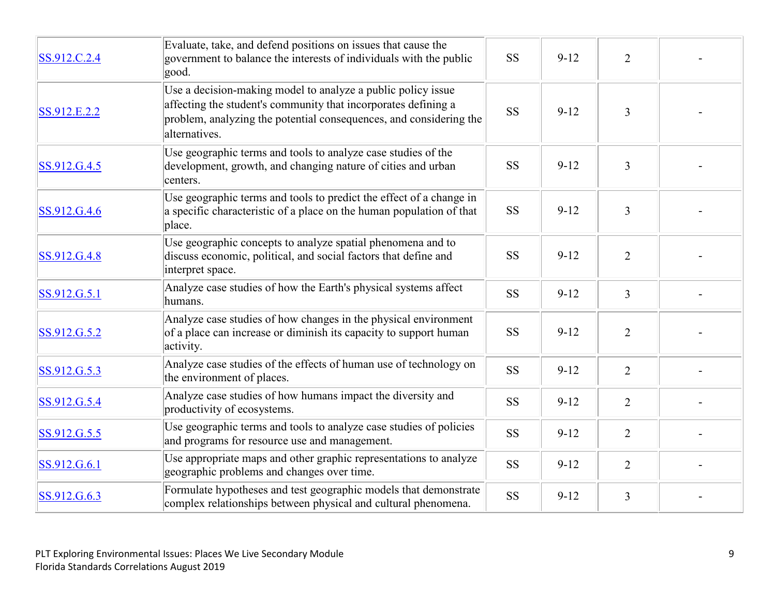| SS.912.C.2.4 | Evaluate, take, and defend positions on issues that cause the<br>government to balance the interests of individuals with the public<br>good.                                                                          | <b>SS</b> | $9 - 12$ | $\overline{2}$ |  |
|--------------|-----------------------------------------------------------------------------------------------------------------------------------------------------------------------------------------------------------------------|-----------|----------|----------------|--|
| SS.912.E.2.2 | Use a decision-making model to analyze a public policy issue<br>affecting the student's community that incorporates defining a<br>problem, analyzing the potential consequences, and considering the<br>alternatives. | <b>SS</b> | $9 - 12$ | $\overline{3}$ |  |
| SS.912.G.4.5 | Use geographic terms and tools to analyze case studies of the<br>development, growth, and changing nature of cities and urban<br>centers.                                                                             | <b>SS</b> | $9 - 12$ | 3              |  |
| SS.912.G.4.6 | Use geographic terms and tools to predict the effect of a change in<br>a specific characteristic of a place on the human population of that<br>place.                                                                 | <b>SS</b> | $9 - 12$ | 3              |  |
| SS.912.G.4.8 | Use geographic concepts to analyze spatial phenomena and to<br>discuss economic, political, and social factors that define and<br>interpret space.                                                                    | <b>SS</b> | $9 - 12$ | $\overline{2}$ |  |
| SS.912.G.5.1 | Analyze case studies of how the Earth's physical systems affect<br>humans.                                                                                                                                            | <b>SS</b> | $9-12$   | $\overline{3}$ |  |
| SS.912.G.5.2 | Analyze case studies of how changes in the physical environment<br>of a place can increase or diminish its capacity to support human<br>activity.                                                                     | <b>SS</b> | $9 - 12$ | $\overline{2}$ |  |
| SS.912.G.5.3 | Analyze case studies of the effects of human use of technology on<br>the environment of places.                                                                                                                       | <b>SS</b> | $9-12$   | $\overline{2}$ |  |
| SS.912.G.5.4 | Analyze case studies of how humans impact the diversity and<br>productivity of ecosystems.                                                                                                                            | <b>SS</b> | $9 - 12$ | $\overline{2}$ |  |
| SS.912.G.5.5 | Use geographic terms and tools to analyze case studies of policies<br>and programs for resource use and management.                                                                                                   | <b>SS</b> | $9 - 12$ | $\overline{2}$ |  |
| SS.912.G.6.1 | Use appropriate maps and other graphic representations to analyze<br>geographic problems and changes over time.                                                                                                       | <b>SS</b> | $9-12$   | $\overline{2}$ |  |
| SS.912.G.6.3 | Formulate hypotheses and test geographic models that demonstrate<br>complex relationships between physical and cultural phenomena.                                                                                    | <b>SS</b> | $9 - 12$ | 3              |  |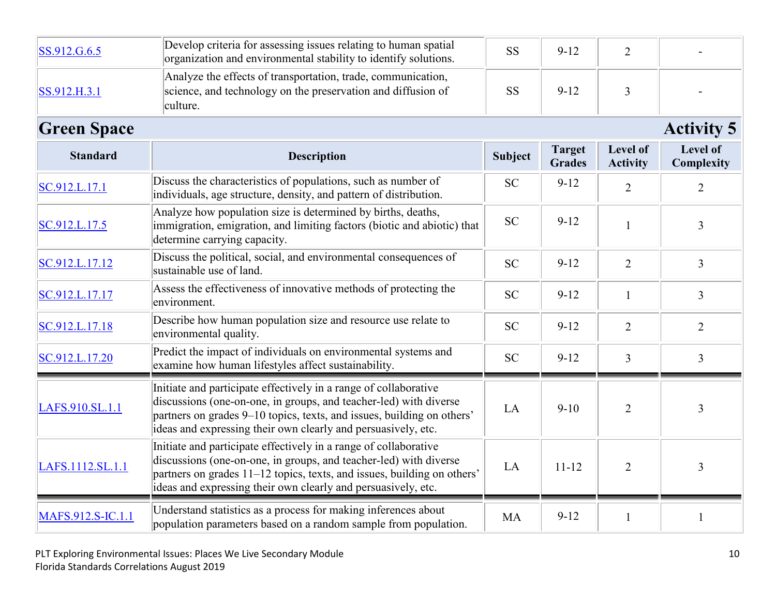| SS.912.G.6.5       | Develop criteria for assessing issues relating to human spatial<br>organization and environmental stability to identify solutions.                                                                                                                                                | <b>SS</b>      | $9 - 12$                       | $\overline{2}$                     |                        |
|--------------------|-----------------------------------------------------------------------------------------------------------------------------------------------------------------------------------------------------------------------------------------------------------------------------------|----------------|--------------------------------|------------------------------------|------------------------|
| SS.912.H.3.1       | Analyze the effects of transportation, trade, communication,<br>science, and technology on the preservation and diffusion of<br>culture.                                                                                                                                          | <b>SS</b>      | $9 - 12$                       | $\overline{3}$                     |                        |
| <b>Green Space</b> |                                                                                                                                                                                                                                                                                   |                |                                |                                    | <b>Activity 5</b>      |
| <b>Standard</b>    | <b>Description</b>                                                                                                                                                                                                                                                                | <b>Subject</b> | <b>Target</b><br><b>Grades</b> | <b>Level of</b><br><b>Activity</b> | Level of<br>Complexity |
| SC.912.L.17.1      | Discuss the characteristics of populations, such as number of<br>individuals, age structure, density, and pattern of distribution.                                                                                                                                                | <b>SC</b>      | $9 - 12$                       | $\overline{2}$                     | $\overline{2}$         |
| SC.912.L.17.5      | Analyze how population size is determined by births, deaths,<br>immigration, emigration, and limiting factors (biotic and abiotic) that<br>determine carrying capacity.                                                                                                           | <b>SC</b>      | $9-12$                         | $\mathbf{1}$                       | $\overline{3}$         |
| SC.912.L.17.12     | Discuss the political, social, and environmental consequences of<br>sustainable use of land.                                                                                                                                                                                      | <b>SC</b>      | $9 - 12$                       | $\overline{2}$                     | $\overline{3}$         |
| SC.912.L.17.17     | Assess the effectiveness of innovative methods of protecting the<br>environment.                                                                                                                                                                                                  | <b>SC</b>      | $9 - 12$                       | $\mathbf{1}$                       | $\overline{3}$         |
| SC.912.L.17.18     | Describe how human population size and resource use relate to<br>environmental quality.                                                                                                                                                                                           | <b>SC</b>      | $9 - 12$                       | $\overline{2}$                     | $\overline{2}$         |
| SC.912.L.17.20     | Predict the impact of individuals on environmental systems and<br>examine how human lifestyles affect sustainability.                                                                                                                                                             | <b>SC</b>      | $9 - 12$                       | $\overline{3}$                     | $\overline{3}$         |
| LAFS.910.SL.1.1    | Initiate and participate effectively in a range of collaborative<br>discussions (one-on-one, in groups, and teacher-led) with diverse<br>partners on grades 9–10 topics, texts, and issues, building on others'<br>ideas and expressing their own clearly and persuasively, etc.  | LA             | $9 - 10$                       | $\overline{2}$                     | 3                      |
| LAFS.1112.SL.1.1   | Initiate and participate effectively in a range of collaborative<br>discussions (one-on-one, in groups, and teacher-led) with diverse<br>partners on grades 11–12 topics, texts, and issues, building on others'<br>ideas and expressing their own clearly and persuasively, etc. | LA             | $11 - 12$                      | $\overline{2}$                     | $\overline{3}$         |
| MAFS.912.S-IC.1.1  | Understand statistics as a process for making inferences about<br>population parameters based on a random sample from population.                                                                                                                                                 | <b>MA</b>      | $9 - 12$                       | $\mathbf{1}$                       |                        |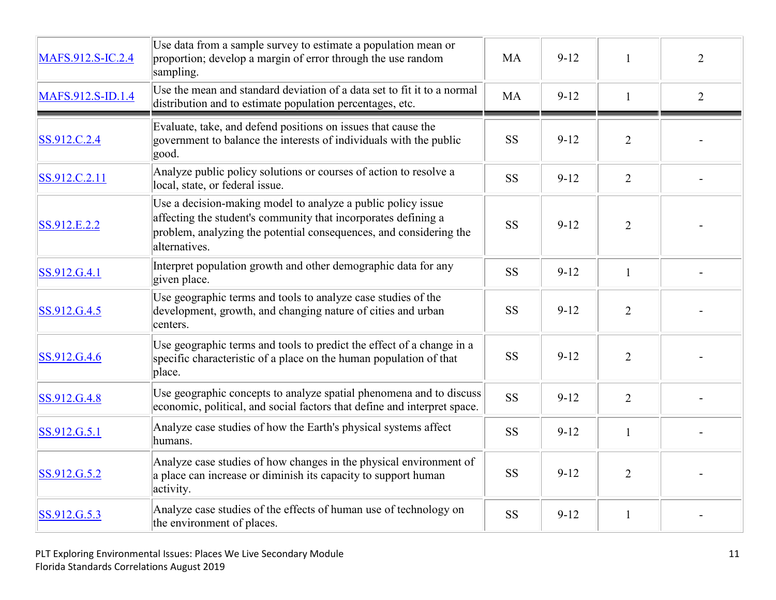| MAFS.912.S-IC.2.4 | Use data from a sample survey to estimate a population mean or<br>proportion; develop a margin of error through the use random<br>sampling.                                                                           | <b>MA</b> | $9-12$   |                | $\overline{2}$ |
|-------------------|-----------------------------------------------------------------------------------------------------------------------------------------------------------------------------------------------------------------------|-----------|----------|----------------|----------------|
| MAFS.912.S-ID.1.4 | Use the mean and standard deviation of a data set to fit it to a normal<br>distribution and to estimate population percentages, etc.                                                                                  | <b>MA</b> | $9-12$   | $\mathbf{1}$   | $\overline{2}$ |
| SS.912.C.2.4      | Evaluate, take, and defend positions on issues that cause the<br>government to balance the interests of individuals with the public<br>good.                                                                          | <b>SS</b> | $9-12$   | $\overline{2}$ |                |
| SS.912.C.2.11     | Analyze public policy solutions or courses of action to resolve a<br>local, state, or federal issue.                                                                                                                  | <b>SS</b> | $9-12$   | $\overline{2}$ |                |
| SS.912.E.2.2      | Use a decision-making model to analyze a public policy issue<br>affecting the student's community that incorporates defining a<br>problem, analyzing the potential consequences, and considering the<br>alternatives. | <b>SS</b> | $9 - 12$ | $\overline{2}$ |                |
| SS.912.G.4.1      | Interpret population growth and other demographic data for any<br>given place.                                                                                                                                        | <b>SS</b> | $9 - 12$ | $\mathbf{1}$   |                |
| SS.912.G.4.5      | Use geographic terms and tools to analyze case studies of the<br>development, growth, and changing nature of cities and urban<br>centers.                                                                             | <b>SS</b> | $9 - 12$ | $\overline{2}$ |                |
| SS.912.G.4.6      | Use geographic terms and tools to predict the effect of a change in a<br>specific characteristic of a place on the human population of that<br>place.                                                                 | <b>SS</b> | $9 - 12$ | 2              |                |
| SS.912.G.4.8      | Use geographic concepts to analyze spatial phenomena and to discuss<br>economic, political, and social factors that define and interpret space.                                                                       | <b>SS</b> | $9 - 12$ | 2              |                |
| SS.912.G.5.1      | Analyze case studies of how the Earth's physical systems affect<br>humans.                                                                                                                                            | <b>SS</b> | $9-12$   | $\mathbf{1}$   |                |
| SS.912.G.5.2      | Analyze case studies of how changes in the physical environment of<br>a place can increase or diminish its capacity to support human<br>activity.                                                                     | <b>SS</b> | $9-12$   | 2              |                |
| SS.912.G.5.3      | Analyze case studies of the effects of human use of technology on<br>the environment of places.                                                                                                                       | <b>SS</b> | $9 - 12$ | $\mathbf{1}$   |                |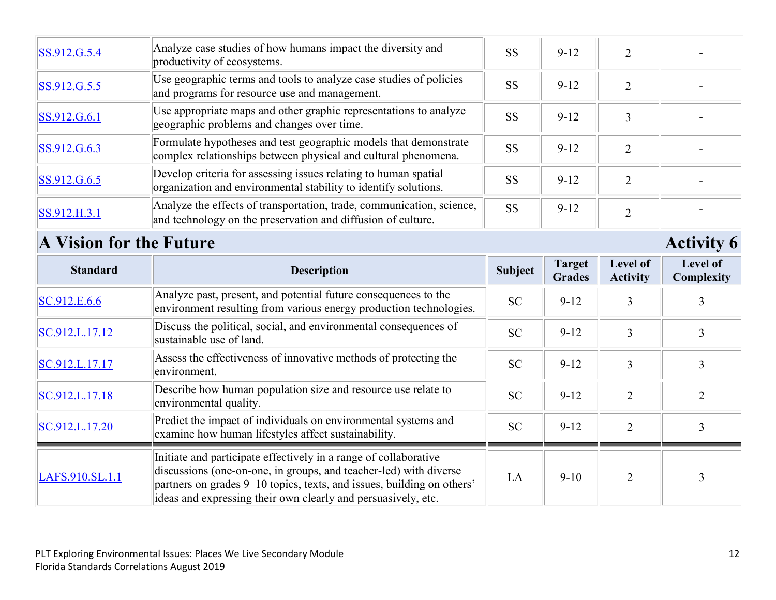| SS.912.G.5.4 | Analyze case studies of how humans impact the diversity and<br>productivity of ecosystems.                                            | <b>SS</b> | $9 - 12$ |   |  |
|--------------|---------------------------------------------------------------------------------------------------------------------------------------|-----------|----------|---|--|
| SS.912.G.5.5 | Use geographic terms and tools to analyze case studies of policies<br>and programs for resource use and management.                   | <b>SS</b> | $9 - 12$ |   |  |
| SS.912.G.6.1 | Use appropriate maps and other graphic representations to analyze<br>geographic problems and changes over time.                       | <b>SS</b> | $9 - 12$ |   |  |
| SS.912.G.6.3 | Formulate hypotheses and test geographic models that demonstrate<br>complex relationships between physical and cultural phenomena.    | <b>SS</b> | $9 - 12$ |   |  |
| SS.912.G.6.5 | Develop criteria for assessing issues relating to human spatial<br>organization and environmental stability to identify solutions.    | <b>SS</b> | $9 - 12$ |   |  |
| SS.912.H.3.1 | Analyze the effects of transportation, trade, communication, science,<br>and technology on the preservation and diffusion of culture. | <b>SS</b> | $9 - 12$ | ി |  |

## **A Vision for the Future Activity 6**

| <b>Standard</b> | <b>Description</b>                                                                                                                                                                                                                                                               | Subject   | <b>Target</b><br><b>Grades</b> | Level of<br><b>Activity</b> | <b>Level of</b><br>Complexity |
|-----------------|----------------------------------------------------------------------------------------------------------------------------------------------------------------------------------------------------------------------------------------------------------------------------------|-----------|--------------------------------|-----------------------------|-------------------------------|
| SC.912.E.6.6    | Analyze past, present, and potential future consequences to the<br>environment resulting from various energy production technologies.                                                                                                                                            | <b>SC</b> | $9-12$                         | 3                           |                               |
| SC.912.L.17.12  | Discuss the political, social, and environmental consequences of<br>sustainable use of land.                                                                                                                                                                                     | <b>SC</b> | $9 - 12$                       | 3                           |                               |
| SC.912.L.17.17  | Assess the effectiveness of innovative methods of protecting the<br>environment.                                                                                                                                                                                                 | <b>SC</b> | $9-12$                         | 3                           |                               |
| SC.912.L.17.18  | Describe how human population size and resource use relate to<br>environmental quality.                                                                                                                                                                                          | <b>SC</b> | $9 - 12$                       | $\overline{2}$              |                               |
| SC.912.L.17.20  | Predict the impact of individuals on environmental systems and<br>examine how human lifestyles affect sustainability.                                                                                                                                                            | <b>SC</b> | $9-12$                         | $\overline{2}$              |                               |
| LAFS.910.SL.1.1 | Initiate and participate effectively in a range of collaborative<br>discussions (one-on-one, in groups, and teacher-led) with diverse<br>partners on grades 9–10 topics, texts, and issues, building on others'<br>ideas and expressing their own clearly and persuasively, etc. | LA        | $9-10$                         | $\overline{2}$              |                               |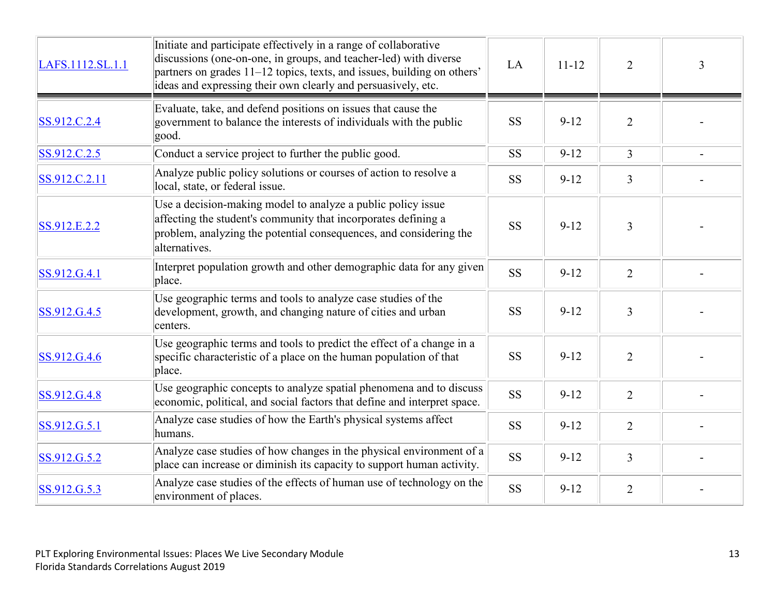| LAFS.1112.SL.1.1 | Initiate and participate effectively in a range of collaborative<br>discussions (one-on-one, in groups, and teacher-led) with diverse<br>partners on grades 11–12 topics, texts, and issues, building on others'<br>ideas and expressing their own clearly and persuasively, etc. | LA        | $11 - 12$ | 2              | 3 |
|------------------|-----------------------------------------------------------------------------------------------------------------------------------------------------------------------------------------------------------------------------------------------------------------------------------|-----------|-----------|----------------|---|
| SS.912.C.2.4     | Evaluate, take, and defend positions on issues that cause the<br>government to balance the interests of individuals with the public<br>good.                                                                                                                                      | <b>SS</b> | $9 - 12$  | $\overline{2}$ |   |
| SS.912.C.2.5     | Conduct a service project to further the public good.                                                                                                                                                                                                                             | <b>SS</b> | $9-12$    | $\overline{3}$ |   |
| SS.912.C.2.11    | Analyze public policy solutions or courses of action to resolve a<br>local, state, or federal issue.                                                                                                                                                                              | <b>SS</b> | $9-12$    | $\overline{3}$ |   |
| SS.912.E.2.2     | Use a decision-making model to analyze a public policy issue<br>affecting the student's community that incorporates defining a<br>problem, analyzing the potential consequences, and considering the<br>alternatives.                                                             | <b>SS</b> | $9 - 12$  | 3              |   |
| SS.912.G.4.1     | Interpret population growth and other demographic data for any given<br>place.                                                                                                                                                                                                    | <b>SS</b> | $9 - 12$  | $\overline{2}$ |   |
| SS.912.G.4.5     | Use geographic terms and tools to analyze case studies of the<br>development, growth, and changing nature of cities and urban<br>centers.                                                                                                                                         | <b>SS</b> | $9 - 12$  | $\overline{3}$ |   |
| SS.912.G.4.6     | Use geographic terms and tools to predict the effect of a change in a<br>specific characteristic of a place on the human population of that<br>place.                                                                                                                             | <b>SS</b> | $9-12$    | $\overline{2}$ |   |
| SS.912.G.4.8     | Use geographic concepts to analyze spatial phenomena and to discuss<br>economic, political, and social factors that define and interpret space.                                                                                                                                   | <b>SS</b> | $9 - 12$  | $\overline{2}$ |   |
| SS.912.G.5.1     | Analyze case studies of how the Earth's physical systems affect<br>humans.                                                                                                                                                                                                        | <b>SS</b> | $9 - 12$  | $\overline{2}$ |   |
| SS.912.G.5.2     | Analyze case studies of how changes in the physical environment of a<br>place can increase or diminish its capacity to support human activity.                                                                                                                                    | <b>SS</b> | $9 - 12$  | $\overline{3}$ |   |
| SS.912.G.5.3     | Analyze case studies of the effects of human use of technology on the<br>environment of places.                                                                                                                                                                                   | <b>SS</b> | $9 - 12$  | $\overline{2}$ |   |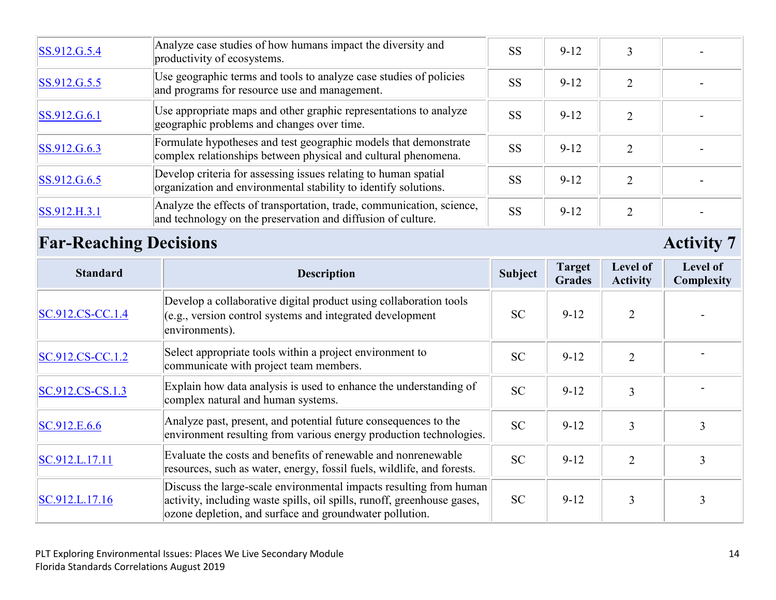| SS.912.G.5.4 | Analyze case studies of how humans impact the diversity and<br>productivity of ecosystems.                                            | <b>SS</b> | $9 - 12$ |  |
|--------------|---------------------------------------------------------------------------------------------------------------------------------------|-----------|----------|--|
| SS.912.G.5.5 | Use geographic terms and tools to analyze case studies of policies<br>and programs for resource use and management.                   | <b>SS</b> | $9 - 12$ |  |
| SS.912.G.6.1 | Use appropriate maps and other graphic representations to analyze<br>geographic problems and changes over time.                       | <b>SS</b> | $9 - 12$ |  |
| SS.912.G.6.3 | Formulate hypotheses and test geographic models that demonstrate<br>complex relationships between physical and cultural phenomena.    | <b>SS</b> | $9 - 12$ |  |
| SS.912.G.6.5 | Develop criteria for assessing issues relating to human spatial<br>organization and environmental stability to identify solutions.    | <b>SS</b> | $9 - 12$ |  |
| SS.912.H.3.1 | Analyze the effects of transportation, trade, communication, science,<br>and technology on the preservation and diffusion of culture. | <b>SS</b> | $9 - 12$ |  |

## **Far-Reaching Decisions** Activity 7

| <b>Standard</b>      | <b>Description</b>                                                                                                                                                                                       | <b>Subject</b> | <b>Target</b><br><b>Grades</b> | Level of<br><b>Activity</b> | Level of<br>Complexity |
|----------------------|----------------------------------------------------------------------------------------------------------------------------------------------------------------------------------------------------------|----------------|--------------------------------|-----------------------------|------------------------|
| $ SC.912.CS-CC.1.4 $ | Develop a collaborative digital product using collaboration tools<br>(e.g., version control systems and integrated development<br>environments).                                                         | <b>SC</b>      | $9 - 12$                       | $\overline{2}$              |                        |
| SC.912.CS-CC.1.2     | Select appropriate tools within a project environment to<br>communicate with project team members.                                                                                                       | <b>SC</b>      | $9 - 12$                       | $\overline{2}$              |                        |
| $SC.912.CS-CS.1.3$   | Explain how data analysis is used to enhance the understanding of<br>complex natural and human systems.                                                                                                  | SC             | $9 - 12$                       | 3                           |                        |
| SC.912.E.6.6         | Analyze past, present, and potential future consequences to the<br>environment resulting from various energy production technologies.                                                                    | <b>SC</b>      | $9 - 12$                       | 3                           | 3                      |
| SC.912.L.17.11       | Evaluate the costs and benefits of renewable and nonrenewable<br>resources, such as water, energy, fossil fuels, wildlife, and forests.                                                                  | <b>SC</b>      | $9 - 12$                       | $\overline{2}$              |                        |
| SC.912.L.17.16       | Discuss the large-scale environmental impacts resulting from human<br>activity, including waste spills, oil spills, runoff, greenhouse gases,<br>ozone depletion, and surface and groundwater pollution. | <b>SC</b>      | $9 - 12$                       | 3                           |                        |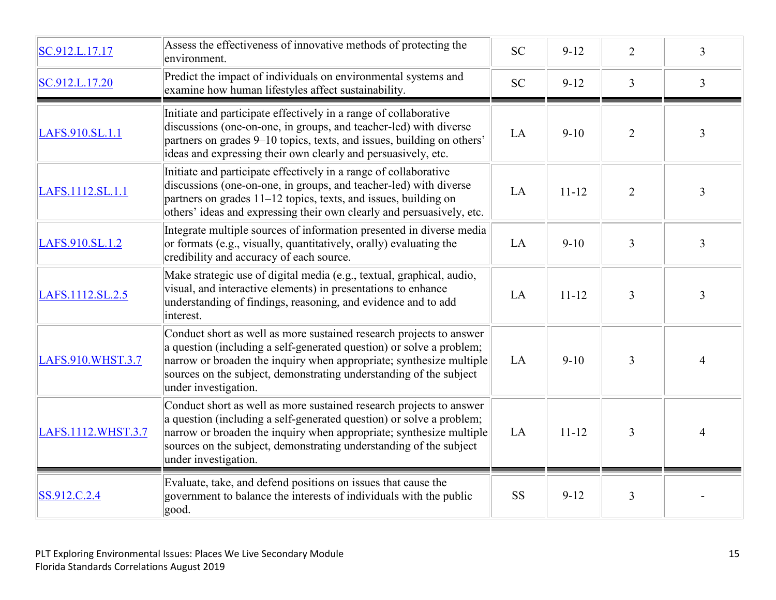| SC.912.L.17.17     | Assess the effectiveness of innovative methods of protecting the<br>environment.                                                                                                                                                                                                                                 | <b>SC</b> | $9 - 12$  | $\overline{2}$ | 3              |
|--------------------|------------------------------------------------------------------------------------------------------------------------------------------------------------------------------------------------------------------------------------------------------------------------------------------------------------------|-----------|-----------|----------------|----------------|
| SC.912.L.17.20     | Predict the impact of individuals on environmental systems and<br>examine how human lifestyles affect sustainability.                                                                                                                                                                                            | <b>SC</b> | $9 - 12$  | $\overline{3}$ | $\overline{3}$ |
| LAFS.910.SL.1.1    | Initiate and participate effectively in a range of collaborative<br>discussions (one-on-one, in groups, and teacher-led) with diverse<br>partners on grades 9–10 topics, texts, and issues, building on others'<br>ideas and expressing their own clearly and persuasively, etc.                                 | LA        | $9-10$    | $\overline{2}$ | $\overline{3}$ |
| LAFS.1112.SL.1.1   | Initiate and participate effectively in a range of collaborative<br>discussions (one-on-one, in groups, and teacher-led) with diverse<br>partners on grades 11–12 topics, texts, and issues, building on<br>others' ideas and expressing their own clearly and persuasively, etc.                                | LA        | $11 - 12$ | $\overline{2}$ | $\overline{3}$ |
| LAFS.910.SL.1.2    | Integrate multiple sources of information presented in diverse media<br>or formats (e.g., visually, quantitatively, orally) evaluating the<br>credibility and accuracy of each source.                                                                                                                           | LA        | $9-10$    | $\overline{3}$ | $\overline{3}$ |
| LAFS.1112.SL.2.5   | Make strategic use of digital media (e.g., textual, graphical, audio,<br>visual, and interactive elements) in presentations to enhance<br>understanding of findings, reasoning, and evidence and to add<br>interest.                                                                                             | LA        | $11 - 12$ | $\overline{3}$ | $\overline{3}$ |
| LAFS.910.WHST.3.7  | Conduct short as well as more sustained research projects to answer<br>a question (including a self-generated question) or solve a problem;<br>narrow or broaden the inquiry when appropriate; synthesize multiple<br>sources on the subject, demonstrating understanding of the subject<br>under investigation. | LA        | $9-10$    | $\overline{3}$ | $\overline{4}$ |
| LAFS.1112.WHST.3.7 | Conduct short as well as more sustained research projects to answer<br>a question (including a self-generated question) or solve a problem;<br>narrow or broaden the inquiry when appropriate; synthesize multiple<br>sources on the subject, demonstrating understanding of the subject<br>under investigation. | LA        | $11 - 12$ | 3              | 4              |
| SS.912.C.2.4       | Evaluate, take, and defend positions on issues that cause the<br>government to balance the interests of individuals with the public<br>good.                                                                                                                                                                     | <b>SS</b> | $9 - 12$  | $\overline{3}$ |                |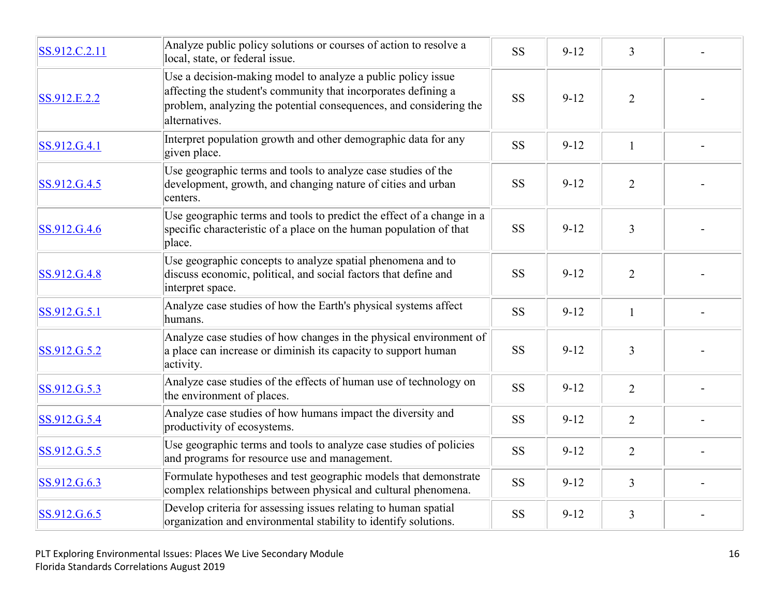| SS.912.C.2.11 | Analyze public policy solutions or courses of action to resolve a<br>local, state, or federal issue.                                                                                                                  | <b>SS</b> | $9 - 12$ | $\overline{3}$ |  |
|---------------|-----------------------------------------------------------------------------------------------------------------------------------------------------------------------------------------------------------------------|-----------|----------|----------------|--|
| SS.912.E.2.2  | Use a decision-making model to analyze a public policy issue<br>affecting the student's community that incorporates defining a<br>problem, analyzing the potential consequences, and considering the<br>alternatives. | <b>SS</b> | $9 - 12$ | $\overline{2}$ |  |
| SS.912.G.4.1  | Interpret population growth and other demographic data for any<br>given place.                                                                                                                                        | <b>SS</b> | $9 - 12$ | $\mathbf{1}$   |  |
| SS.912.G.4.5  | Use geographic terms and tools to analyze case studies of the<br>development, growth, and changing nature of cities and urban<br>centers.                                                                             | <b>SS</b> | $9 - 12$ | $\overline{2}$ |  |
| SS.912.G.4.6  | Use geographic terms and tools to predict the effect of a change in a<br>specific characteristic of a place on the human population of that<br>place.                                                                 | <b>SS</b> | $9 - 12$ | $\overline{3}$ |  |
| SS.912.G.4.8  | Use geographic concepts to analyze spatial phenomena and to<br>discuss economic, political, and social factors that define and<br>interpret space.                                                                    | <b>SS</b> | $9 - 12$ | $\overline{2}$ |  |
| SS.912.G.5.1  | Analyze case studies of how the Earth's physical systems affect<br>humans.                                                                                                                                            | <b>SS</b> | $9 - 12$ | $\mathbf{1}$   |  |
| SS.912.G.5.2  | Analyze case studies of how changes in the physical environment of<br>a place can increase or diminish its capacity to support human<br>activity.                                                                     | <b>SS</b> | $9 - 12$ | 3              |  |
| SS.912.G.5.3  | Analyze case studies of the effects of human use of technology on<br>the environment of places.                                                                                                                       | <b>SS</b> | $9 - 12$ | $\overline{2}$ |  |
| SS.912.G.5.4  | Analyze case studies of how humans impact the diversity and<br>productivity of ecosystems.                                                                                                                            | <b>SS</b> | $9 - 12$ | $\overline{2}$ |  |
| SS.912.G.5.5  | Use geographic terms and tools to analyze case studies of policies<br>and programs for resource use and management.                                                                                                   | <b>SS</b> | $9 - 12$ | $\overline{2}$ |  |
| SS.912.G.6.3  | Formulate hypotheses and test geographic models that demonstrate<br>complex relationships between physical and cultural phenomena.                                                                                    | <b>SS</b> | $9 - 12$ | $\overline{3}$ |  |
| SS.912.G.6.5  | Develop criteria for assessing issues relating to human spatial<br>organization and environmental stability to identify solutions.                                                                                    | <b>SS</b> | $9 - 12$ | $\overline{3}$ |  |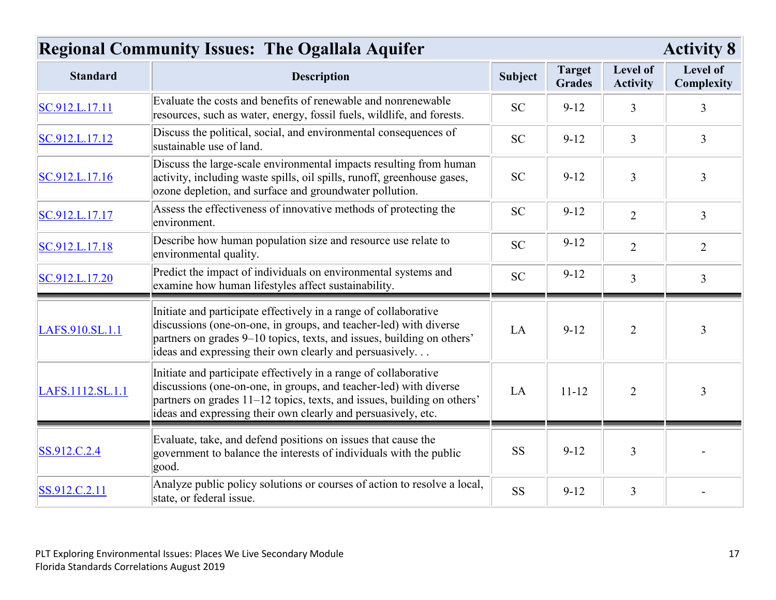| <b>Regional Community Issues: The Ogallala Aquifer</b> |                                                                                                                                                                                                                                                                                   |                | <b>Activity 8</b>              |                             |                        |
|--------------------------------------------------------|-----------------------------------------------------------------------------------------------------------------------------------------------------------------------------------------------------------------------------------------------------------------------------------|----------------|--------------------------------|-----------------------------|------------------------|
| <b>Standard</b>                                        | <b>Description</b>                                                                                                                                                                                                                                                                | <b>Subject</b> | <b>Target</b><br><b>Grades</b> | Level of<br><b>Activity</b> | Level of<br>Complexity |
| SC.912.L.17.11                                         | Evaluate the costs and benefits of renewable and nonrenewable<br>resources, such as water, energy, fossil fuels, wildlife, and forests.                                                                                                                                           | <b>SC</b>      | $9 - 12$                       | 3                           | 3                      |
| SC.912.L.17.12                                         | Discuss the political, social, and environmental consequences of<br>sustainable use of land.                                                                                                                                                                                      | <b>SC</b>      | $9 - 12$                       | $\overline{3}$              | $\overline{3}$         |
| SC.912.L.17.16                                         | Discuss the large-scale environmental impacts resulting from human<br>activity, including waste spills, oil spills, runoff, greenhouse gases,<br>ozone depletion, and surface and groundwater pollution.                                                                          | <b>SC</b>      | $9-12$                         | 3                           | $\overline{3}$         |
| SC.912.L.17.17                                         | Assess the effectiveness of innovative methods of protecting the<br>environment.                                                                                                                                                                                                  | <b>SC</b>      | $9 - 12$                       | $\overline{2}$              | $\overline{3}$         |
| SC.912.L.17.18                                         | Describe how human population size and resource use relate to<br>environmental quality.                                                                                                                                                                                           | <b>SC</b>      | $9 - 12$                       | $\overline{2}$              | $\overline{2}$         |
| SC.912.L.17.20                                         | Predict the impact of individuals on environmental systems and<br>examine how human lifestyles affect sustainability.                                                                                                                                                             | <b>SC</b>      | $9 - 12$                       | $\overline{3}$              | $\overline{3}$         |
| LAFS.910.SL.1.1                                        | Initiate and participate effectively in a range of collaborative<br>discussions (one-on-one, in groups, and teacher-led) with diverse<br>partners on grades 9–10 topics, texts, and issues, building on others'<br>ideas and expressing their own clearly and persuasively        | LA             | $9 - 12$                       | $\overline{2}$              | 3                      |
| LAFS.1112.SL.1.1                                       | Initiate and participate effectively in a range of collaborative<br>discussions (one-on-one, in groups, and teacher-led) with diverse<br>partners on grades 11–12 topics, texts, and issues, building on others'<br>ideas and expressing their own clearly and persuasively, etc. | LA             | $11 - 12$                      | $\overline{2}$              | $\overline{3}$         |
| SS.912.C.2.4                                           | Evaluate, take, and defend positions on issues that cause the<br>government to balance the interests of individuals with the public<br>good.                                                                                                                                      | <b>SS</b>      | $9 - 12$                       | 3                           |                        |
| SS.912.C.2.11                                          | Analyze public policy solutions or courses of action to resolve a local,<br>state, or federal issue.                                                                                                                                                                              | <b>SS</b>      | $9 - 12$                       | $\overline{3}$              |                        |